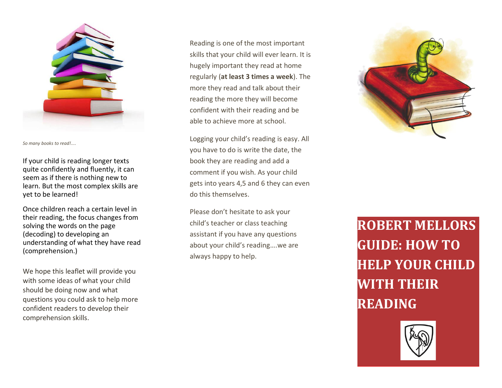

*So many books to read!....*

If your child is reading longer texts quite confidently and fluently, it can seem as if there is nothing new to learn. But the most complex skills are yet to be learned!

Once children reach a certain level in their reading, the focus changes from solving the words on the page (decoding) to developing an understanding of what they have read (comprehension.)

We hope this leaflet will provide you with some ideas of what your child should be doing now and what questions you could ask to help more confident readers to develop their comprehension skills.

Reading is one of the most important skills that your child will ever learn. It is hugely important they read at home regularly (**at least 3 times a week**). The more they read and talk about their reading the more they will become confident with their reading and be able to achieve more at school.

Logging your child's reading is easy. All you have to do is write the date, the book they are reading and add a comment if you wish. As your child gets into years 4,5 and 6 they can even do this themselves.

Please don't hesitate to ask your child's teacher or class teaching assistant if you have any questions about your child's reading….we are always happy to help.



**ROBERT MELLORS GUIDE: HOW TO HELP YOUR CHILD WITH THEIR READING**